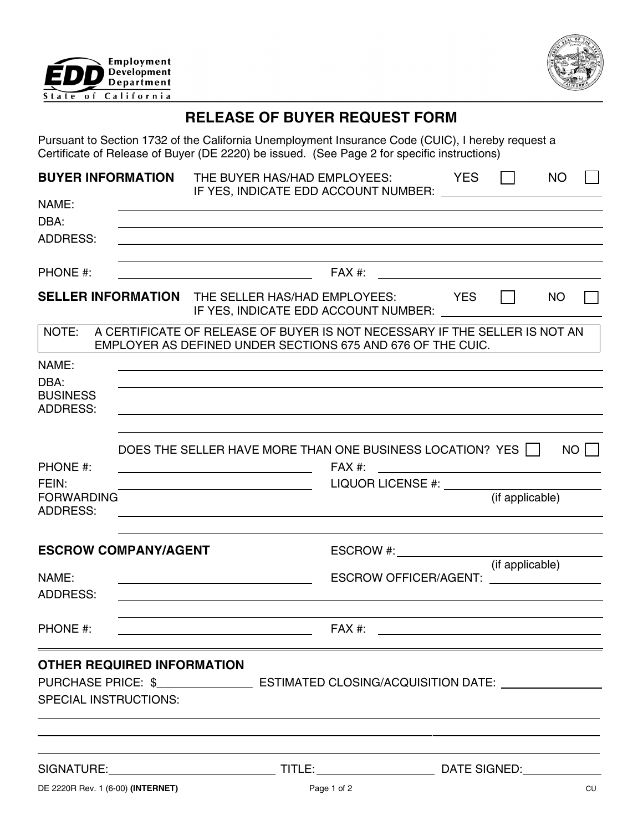



# **RELEASE OF BUYER REQUEST FORM**

Pursuant to Section 1732 of the California Unemployment Insurance Code (CUIC), I hereby request a Certificate of Release of Buyer (DE 2220) be issued. (See Page 2 for specific instructions)

| <b>BUYER INFORMATION</b><br>NAME:<br>DBA:<br><b>ADDRESS:</b>      |  | THE BUYER HAS/HAD EMPLOYEES:<br>IF YES, INDICATE EDD ACCOUNT NUMBER:                                                                                                                                                                                                                          |                                                                                  | <b>YES</b> |                 | <b>NO</b> |      |
|-------------------------------------------------------------------|--|-----------------------------------------------------------------------------------------------------------------------------------------------------------------------------------------------------------------------------------------------------------------------------------------------|----------------------------------------------------------------------------------|------------|-----------------|-----------|------|
| PHONE #:                                                          |  |                                                                                                                                                                                                                                                                                               | FAX #:                                                                           |            |                 |           |      |
|                                                                   |  | <b>SELLER INFORMATION</b> THE SELLER HAS/HAD EMPLOYEES: YES<br>IF YES, INDICATE EDD ACCOUNT NUMBER: LATER AND THE MANUSCRIPT OF THE MANUSCRIPT OF THE MANUSCRIPT OF THE MANUSCRIPT OF THE MANUSCRIPT OF THE MANUSCRIPT OF THE MANUSCRIPT OF THE MANUSCRIPT OF THE MANUSCRIPT OF THE MANUSCRIP |                                                                                  |            |                 | NO        |      |
| NOTE:                                                             |  | A CERTIFICATE OF RELEASE OF BUYER IS NOT NECESSARY IF THE SELLER IS NOT AN<br>EMPLOYER AS DEFINED UNDER SECTIONS 675 AND 676 OF THE CUIC.                                                                                                                                                     |                                                                                  |            |                 |           |      |
| NAME:<br>DBA:<br><b>BUSINESS</b><br><b>ADDRESS:</b>               |  | <u> 1989 - Andrea Branden, amerikansk politik (d. 1989)</u>                                                                                                                                                                                                                                   |                                                                                  |            |                 |           |      |
| PHONE #:<br>FEIN:<br><b>FORWARDING</b><br><b>ADDRESS:</b>         |  | DOES THE SELLER HAVE MORE THAN ONE BUSINESS LOCATION? YES $\Box$<br><u> 1989 - Johann Barnett, fransk politiker (</u><br><u> 1989 - Johann Barnett, fransk politiker (d. 1989)</u>                                                                                                            | FAX #:<br><u> 1980 - Andrea Brand, amerikansk politik (</u><br>LIQUOR LICENSE #: |            | (if applicable) |           | $NO$ |
| <b>ESCROW COMPANY/AGENT</b>                                       |  |                                                                                                                                                                                                                                                                                               | ESCROW #:                                                                        |            |                 |           |      |
| NAME:<br><b>ADDRESS:</b>                                          |  |                                                                                                                                                                                                                                                                                               | ESCROW OFFICER/AGENT: <u>______________</u>                                      |            | (if applicable) |           |      |
| PHONE #:                                                          |  |                                                                                                                                                                                                                                                                                               | FAX #:                                                                           |            |                 |           |      |
| <b>OTHER REQUIRED INFORMATION</b><br><b>SPECIAL INSTRUCTIONS:</b> |  | PURCHASE PRICE: \$_____________________ ESTIMATED CLOSING/ACQUISITION DATE: ____________                                                                                                                                                                                                      |                                                                                  |            |                 |           |      |
|                                                                   |  |                                                                                                                                                                                                                                                                                               |                                                                                  |            |                 |           |      |
| DE 2220R Rev. 1 (6-00) (INTERNET)                                 |  |                                                                                                                                                                                                                                                                                               | Page 1 of 2                                                                      |            |                 |           | CU   |